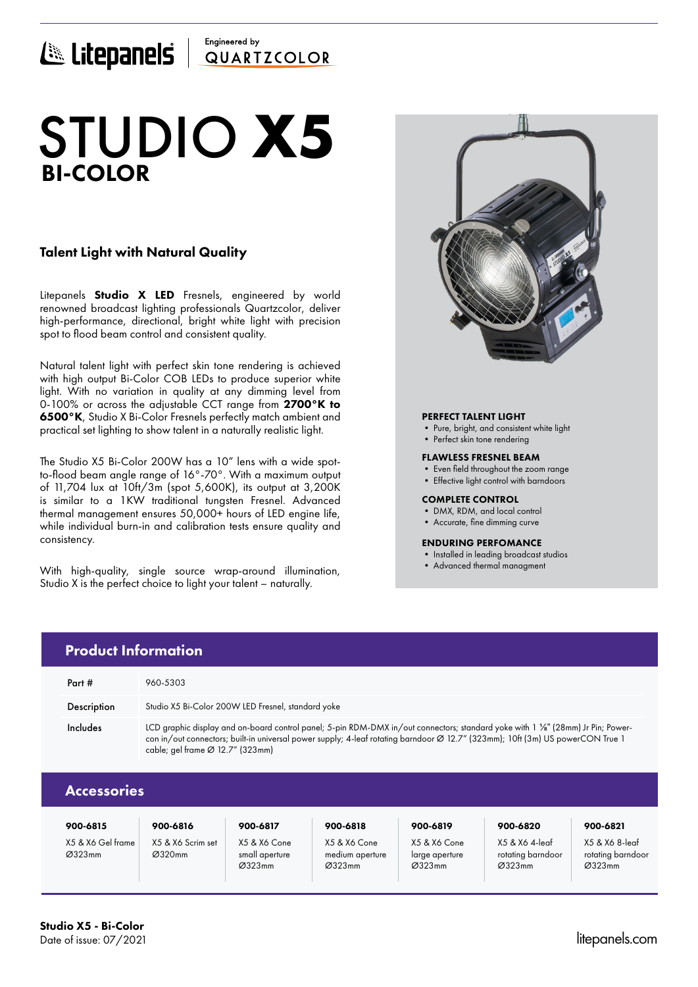# Engineered by E Litepanels QUARTICOLOR

# BI-COLOR STUDIO **X5**

# Talent Light with Natural Quality

Litepanels **Studio X LED** Fresnels, engineered by world renowned broadcast lighting professionals Quartzcolor, deliver high-performance, directional, bright white light with precision spot to flood beam control and consistent quality.

Natural talent light with perfect skin tone rendering is achieved with high output Bi-Color COB LEDs to produce superior white light. With no variation in quality at any dimming level from 0-100% or across the adjustable CCT range from 2700°K to 6500°K, Studio X Bi-Color Fresnels perfectly match ambient and practical set lighting to show talent in a naturally realistic light.

The Studio X5 Bi-Color 200W has a 10" lens with a wide spotto-flood beam angle range of 16°-70°. With a maximum output of 11,704 lux at 10ft/3m (spot 5,600K), its output at 3,200K is similar to a 1KW traditional tungsten Fresnel. Advanced thermal management ensures 50,000+ hours of LED engine life, while individual burn-in and calibration tests ensure quality and consistency.

With high-quality, single source wrap-around illumination, Studio X is the perfect choice to light your talent – naturally.



## PERFECT TALENT LIGHT

- Pure, bright, and consistent white light
- Perfect skin tone rendering

### FLAWLESS FRESNEL BEAM

- Even field throughout the zoom range
- Effective light control with barndoors

### COMPLETE CONTROL

- DMX, RDM, and local control
- Accurate, fine dimming curve

### ENDURING PERFOMANCE

- Installed in leading broadcast studios
- Advanced thermal managment

| <b>Product Information</b> |                                                                                                                                                                                                                                                                                                        |  |  |  |  |  |  |
|----------------------------|--------------------------------------------------------------------------------------------------------------------------------------------------------------------------------------------------------------------------------------------------------------------------------------------------------|--|--|--|--|--|--|
| Part #                     | 960-5303                                                                                                                                                                                                                                                                                               |  |  |  |  |  |  |
| <b>Description</b>         | Studio X5 Bi-Color 200W LED Fresnel, standard yoke                                                                                                                                                                                                                                                     |  |  |  |  |  |  |
| Includes                   | LCD graphic display and on-board control panel; 5-pin RDM-DMX in/out connectors; standard yoke with 1 1/8" (28mm) Jr Pin; Power-<br>con in/out connectors; built-in universal power supply; 4-leaf rotating barndoor Ø 12.7" (323mm); 10ft (3m) US powerCON True 1<br>cable; gel frame Ø 12.7" (323mm) |  |  |  |  |  |  |
| Accessories                |                                                                                                                                                                                                                                                                                                        |  |  |  |  |  |  |

| 900-6815                    | 900-6816                    | 900-6817                                 | 900-6818                                  | 900-6819                                 | 900-6820                                      | 900-6821                                      |
|-----------------------------|-----------------------------|------------------------------------------|-------------------------------------------|------------------------------------------|-----------------------------------------------|-----------------------------------------------|
| X5 & X6 Gel frame<br>Ø323mm | X5 & X6 Scrim set<br>Ø320mm | X5 & X6 Cone<br>small aperture<br>Ø323mm | X5 & X6 Cone<br>medium aperture<br>Ø323mm | X5 & X6 Cone<br>large aperture<br>Ø323mm | X5 & X6 4-leaf<br>rotating barndoor<br>Ø323mm | X5 & X6 8-leaf<br>rotating barndoor<br>Ø323mm |

# Studio X5 - Bi-Color Date of issue: 07/2021 litepanels.com